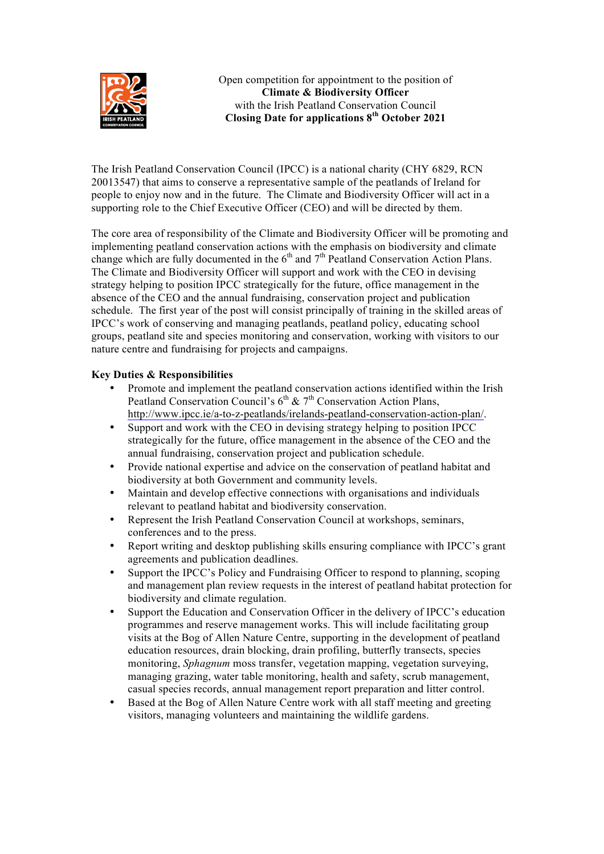

Open competition for appointment to the position of **Climate & Biodiversity Officer** with the Irish Peatland Conservation Council **Closing Date for applications 8th October 2021**

The Irish Peatland Conservation Council (IPCC) is a national charity (CHY 6829, RCN 20013547) that aims to conserve a representative sample of the peatlands of Ireland for people to enjoy now and in the future. The Climate and Biodiversity Officer will act in a supporting role to the Chief Executive Officer (CEO) and will be directed by them.

The core area of responsibility of the Climate and Biodiversity Officer will be promoting and implementing peatland conservation actions with the emphasis on biodiversity and climate change which are fully documented in the  $6<sup>th</sup>$  and  $7<sup>th</sup>$  Peatland Conservation Action Plans. The Climate and Biodiversity Officer will support and work with the CEO in devising strategy helping to position IPCC strategically for the future, office management in the absence of the CEO and the annual fundraising, conservation project and publication schedule. The first year of the post will consist principally of training in the skilled areas of IPCC's work of conserving and managing peatlands, peatland policy, educating school groups, peatland site and species monitoring and conservation, working with visitors to our nature centre and fundraising for projects and campaigns.

# **Key Duties & Responsibilities**

- Promote and implement the peatland conservation actions identified within the Irish Peatland Conservation Council's  $6<sup>th</sup>$  &  $7<sup>th</sup>$  Conservation Action Plans, http://www.ipcc.ie/a-to-z-peatlands/irelands-peatland-conservation-action-plan/.
- Support and work with the CEO in devising strategy helping to position IPCC strategically for the future, office management in the absence of the CEO and the annual fundraising, conservation project and publication schedule.
- Provide national expertise and advice on the conservation of peatland habitat and biodiversity at both Government and community levels.
- Maintain and develop effective connections with organisations and individuals relevant to peatland habitat and biodiversity conservation.
- Represent the Irish Peatland Conservation Council at workshops, seminars, conferences and to the press.
- Report writing and desktop publishing skills ensuring compliance with IPCC's grant agreements and publication deadlines.
- Support the IPCC's Policy and Fundraising Officer to respond to planning, scoping and management plan review requests in the interest of peatland habitat protection for biodiversity and climate regulation.
- Support the Education and Conservation Officer in the delivery of IPCC's education programmes and reserve management works. This will include facilitating group visits at the Bog of Allen Nature Centre, supporting in the development of peatland education resources, drain blocking, drain profiling, butterfly transects, species monitoring, *Sphagnum* moss transfer, vegetation mapping, vegetation surveying, managing grazing, water table monitoring, health and safety, scrub management, casual species records, annual management report preparation and litter control.
- Based at the Bog of Allen Nature Centre work with all staff meeting and greeting visitors, managing volunteers and maintaining the wildlife gardens.